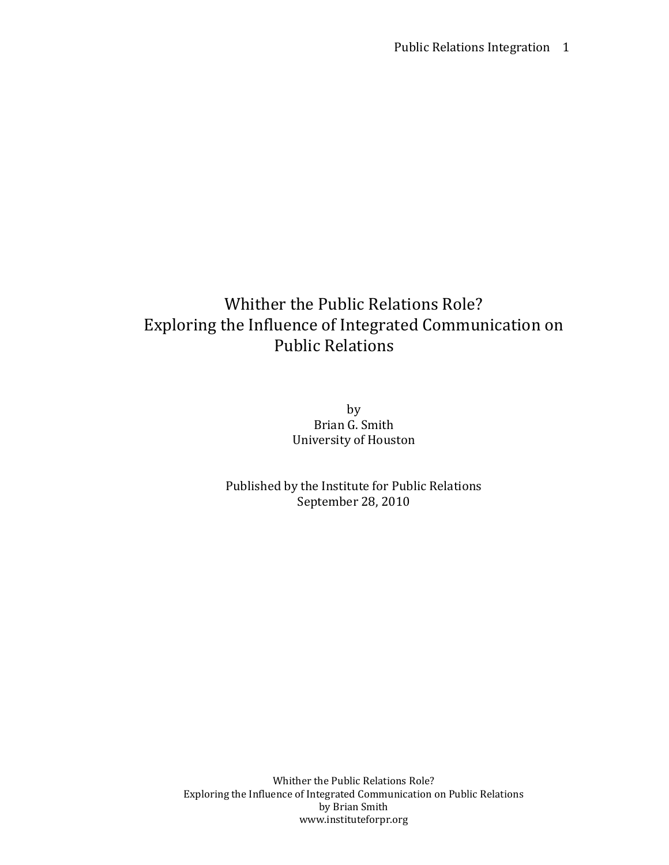# Whither the Public Relations Role? Exploring the Influence of Integrated Communication on Public Relations

by Brian G. Smith University of Houston

Published by the Institute for Public Relations September 28, 2010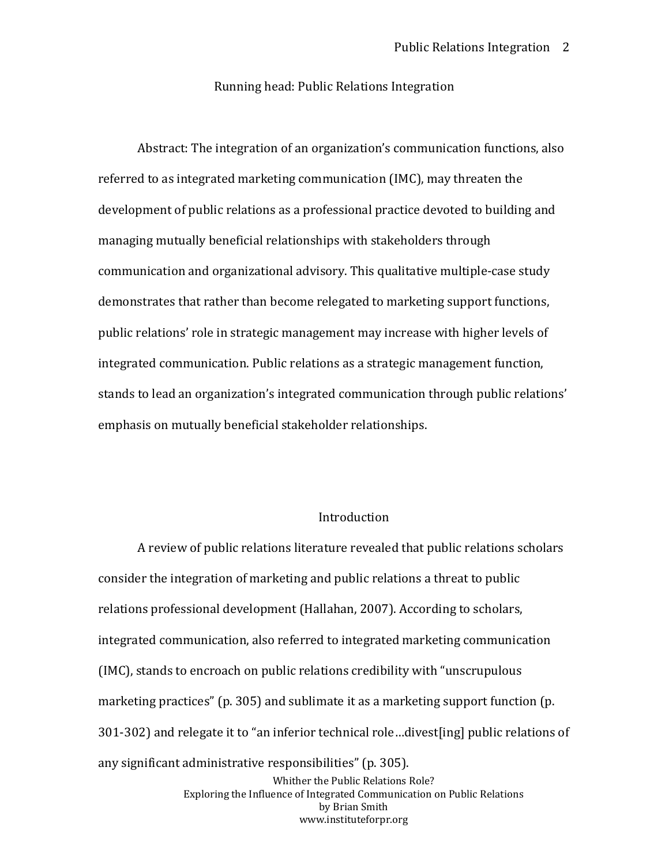### Running head: Public Relations Integration

Abstract: The integration of an organization's communication functions, also referred to as integrated marketing communication (IMC), may threaten the development of public relations as a professional practice devoted to building and managing mutually beneficial relationships with stakeholders through communication and organizational advisory. This qualitative multiple-case study demonstrates that rather than become relegated to marketing support functions, public relations' role in strategic management may increase with higher levels of integrated communication. Public relations as a strategic management function, stands to lead an organization's integrated communication through public relations' emphasis on mutually beneficial stakeholder relationships.

# Introduction

A review of public relations literature revealed that public relations scholars consider the integration of marketing and public relations a threat to public relations professional development (Hallahan, 2007). According to scholars, integrated communication, also referred to integrated marketing communication (IMC), stands to encroach on public relations credibility with "unscrupulous marketing practices" (p. 305) and sublimate it as a marketing support function (p. 301-302) and relegate it to "an inferior technical role…divest[ing] public relations of any significant administrative responsibilities" (p. 305).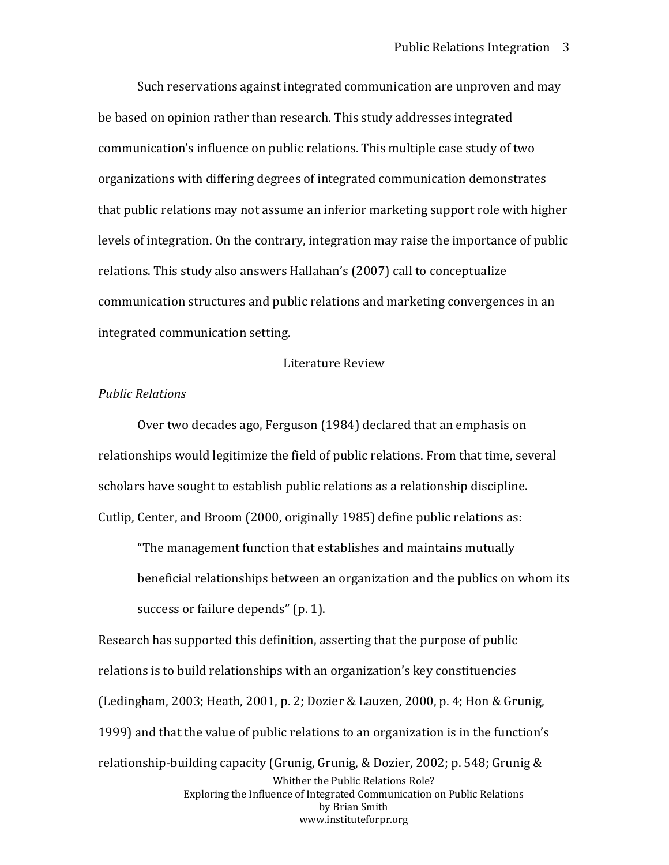Such reservations against integrated communication are unproven and may be based on opinion rather than research. This study addresses integrated communication's influence on public relations. This multiple case study of two organizations with differing degrees of integrated communication demonstrates that public relations may not assume an inferior marketing support role with higher levels of integration. On the contrary, integration may raise the importance of public relations. This study also answers Hallahan's (2007) call to conceptualize communication structures and public relations and marketing convergences in an integrated communication setting.

### Literature Review

# *Public Relations*

Over two decades ago, Ferguson (1984) declared that an emphasis on relationships would legitimize the field of public relations. From that time, several scholars have sought to establish public relations as a relationship discipline. Cutlip, Center, and Broom (2000, originally 1985) define public relations as:

"The management function that establishes and maintains mutually beneficial relationships between an organization and the publics on whom its success or failure depends" (p. 1).

Whither the Public Relations Role? Exploring the Influence of Integrated Communication on Public Relations by Brian Smith www.instituteforpr.org Research has supported this definition, asserting that the purpose of public relations is to build relationships with an organization's key constituencies (Ledingham, 2003; Heath, 2001, p. 2; Dozier & Lauzen, 2000, p. 4; Hon & Grunig, 1999) and that the value of public relations to an organization is in the function's relationship-building capacity (Grunig, Grunig, & Dozier, 2002; p. 548; Grunig &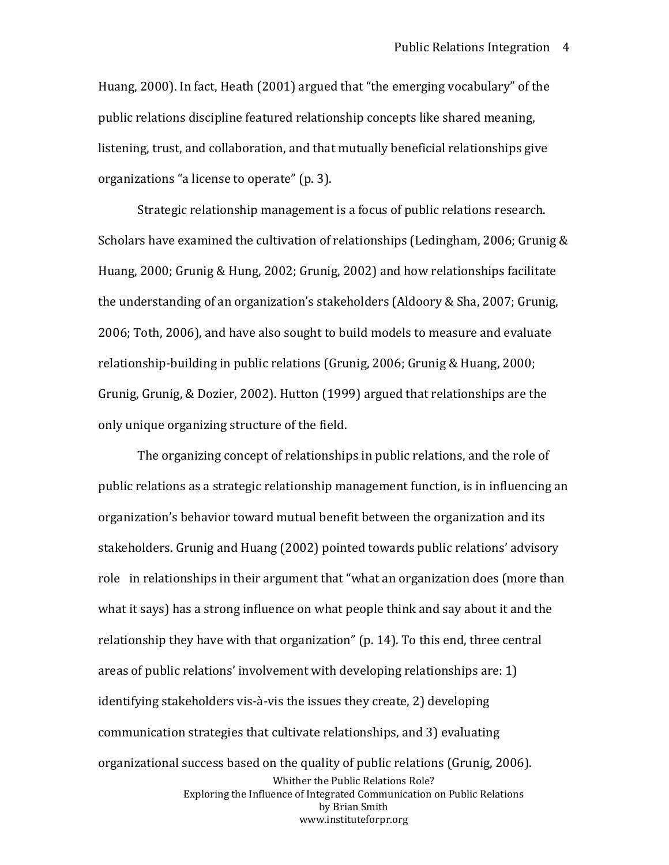Huang, 2000). In fact, Heath (2001) argued that "the emerging vocabulary" of the public relations discipline featured relationship concepts like shared meaning, listening, trust, and collaboration, and that mutually beneficial relationships give organizations "a license to operate" (p. 3).

Strategic relationship management is a focus of public relations research. Scholars have examined the cultivation of relationships (Ledingham, 2006; Grunig & Huang, 2000; Grunig & Hung, 2002; Grunig, 2002) and how relationships facilitate the understanding of an organization's stakeholders (Aldoory & Sha, 2007; Grunig, 2006; Toth, 2006), and have also sought to build models to measure and evaluate relationship-building in public relations (Grunig, 2006; Grunig & Huang, 2000; Grunig, Grunig, & Dozier, 2002). Hutton (1999) argued that relationships are the only unique organizing structure of the field.

Whither the Public Relations Role? Exploring the Influence of Integrated Communication on Public Relations by Brian Smith www.instituteforpr.org The organizing concept of relationships in public relations, and the role of public relations as a strategic relationship management function, is in influencing an organization's behavior toward mutual benefit between the organization and its stakeholders. Grunig and Huang (2002) pointed towards public relations' advisory role in relationships in their argument that "what an organization does (more than what it says) has a strong influence on what people think and say about it and the relationship they have with that organization" (p. 14). To this end, three central areas of public relations' involvement with developing relationships are: 1) identifying stakeholders vis-à-vis the issues they create, 2) developing communication strategies that cultivate relationships, and 3) evaluating organizational success based on the quality of public relations (Grunig, 2006).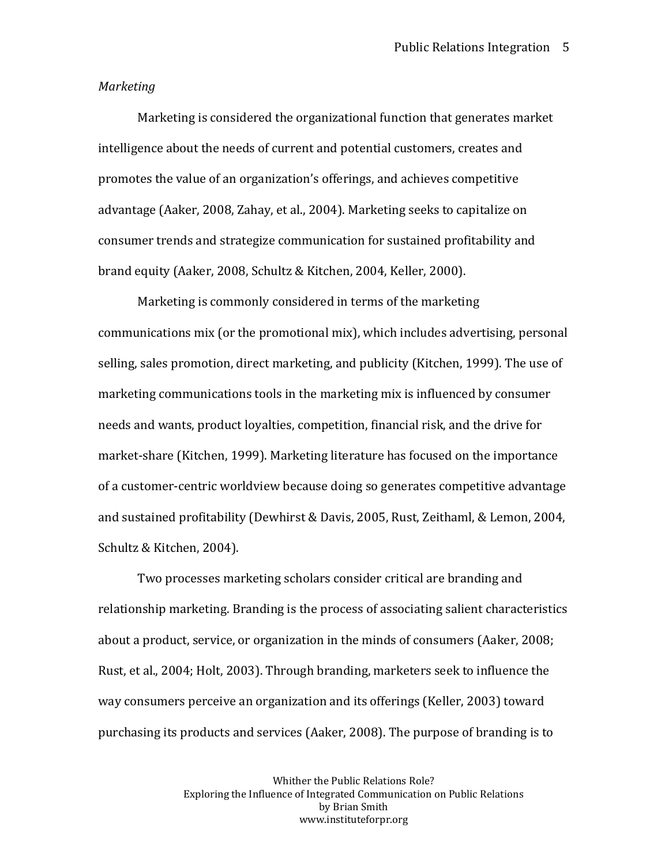### *Marketing*

Marketing is considered the organizational function that generates market intelligence about the needs of current and potential customers, creates and promotes the value of an organization's offerings, and achieves competitive advantage (Aaker, 2008, Zahay, et al., 2004). Marketing seeks to capitalize on consumer trends and strategize communication for sustained profitability and brand equity (Aaker, 2008, Schultz & Kitchen, 2004, Keller, 2000).

Marketing is commonly considered in terms of the marketing communications mix (or the promotional mix), which includes advertising, personal selling, sales promotion, direct marketing, and publicity (Kitchen, 1999). The use of marketing communications tools in the marketing mix is influenced by consumer needs and wants, product loyalties, competition, financial risk, and the drive for market-share (Kitchen, 1999). Marketing literature has focused on the importance of a customer-centric worldview because doing so generates competitive advantage and sustained profitability (Dewhirst & Davis, 2005, Rust, Zeithaml, & Lemon, 2004, Schultz & Kitchen, 2004).

Two processes marketing scholars consider critical are branding and relationship marketing. Branding is the process of associating salient characteristics about a product, service, or organization in the minds of consumers (Aaker, 2008; Rust, et al., 2004; Holt, 2003). Through branding, marketers seek to influence the way consumers perceive an organization and its offerings (Keller, 2003) toward purchasing its products and services (Aaker, 2008). The purpose of branding is to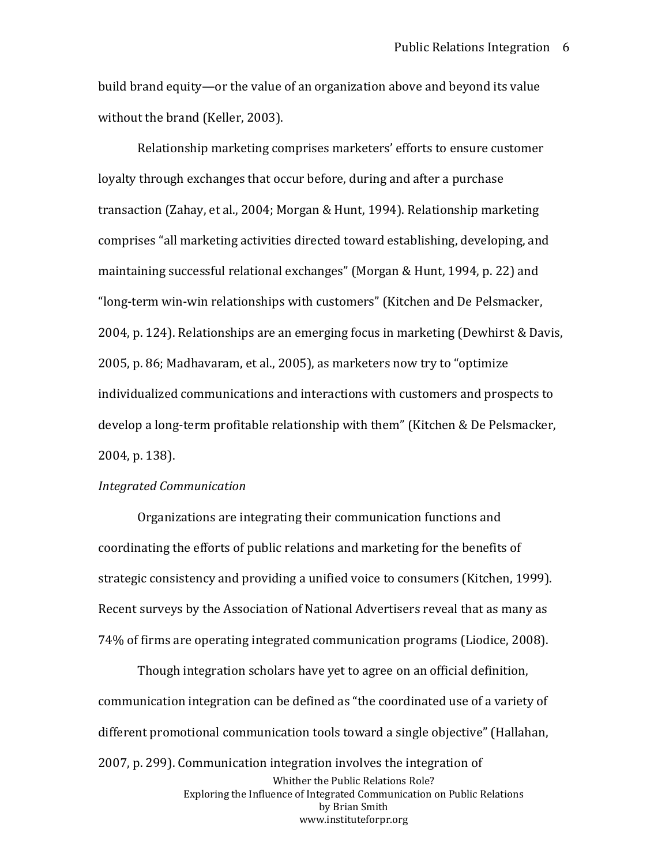build brand equity—or the value of an organization above and beyond its value without the brand (Keller, 2003).

Relationship marketing comprises marketers' efforts to ensure customer loyalty through exchanges that occur before, during and after a purchase transaction (Zahay, et al., 2004; Morgan & Hunt, 1994). Relationship marketing comprises "all marketing activities directed toward establishing, developing, and maintaining successful relational exchanges" (Morgan & Hunt, 1994, p. 22) and "long-term win-win relationships with customers" (Kitchen and De Pelsmacker, 2004, p. 124). Relationships are an emerging focus in marketing (Dewhirst & Davis, 2005, p. 86; Madhavaram, et al., 2005), as marketers now try to "optimize individualized communications and interactions with customers and prospects to develop a long-term profitable relationship with them" (Kitchen & De Pelsmacker, 2004, p. 138).

# *Integrated Communication*

Organizations are integrating their communication functions and coordinating the efforts of public relations and marketing for the benefits of strategic consistency and providing a unified voice to consumers (Kitchen, 1999). Recent surveys by the Association of National Advertisers reveal that as many as 74% of firms are operating integrated communication programs (Liodice, 2008).

Whither the Public Relations Role? Exploring the Influence of Integrated Communication on Public Relations by Brian Smith www.instituteforpr.org Though integration scholars have yet to agree on an official definition, communication integration can be defined as "the coordinated use of a variety of different promotional communication tools toward a single objective" (Hallahan, 2007, p. 299). Communication integration involves the integration of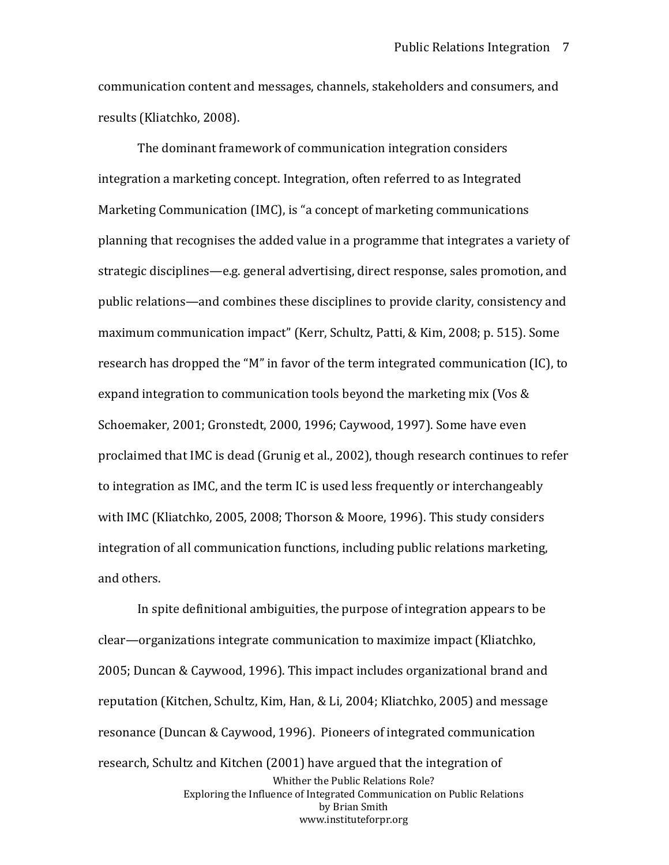communication content and messages, channels, stakeholders and consumers, and results (Kliatchko, 2008).

The dominant framework of communication integration considers integration a marketing concept. Integration, often referred to as Integrated Marketing Communication (IMC), is "a concept of marketing communications planning that recognises the added value in a programme that integrates a variety of strategic disciplines—e.g. general advertising, direct response, sales promotion, and public relations—and combines these disciplines to provide clarity, consistency and maximum communication impact" (Kerr, Schultz, Patti, & Kim, 2008; p. 515). Some research has dropped the "M" in favor of the term integrated communication (IC), to expand integration to communication tools beyond the marketing mix (Vos & Schoemaker, 2001; Gronstedt, 2000, 1996; Caywood, 1997). Some have even proclaimed that IMC is dead (Grunig et al., 2002), though research continues to refer to integration as IMC, and the term IC is used less frequently or interchangeably with IMC (Kliatchko, 2005, 2008; Thorson & Moore, 1996). This study considers integration of all communication functions, including public relations marketing, and others.

Whither the Public Relations Role? Exploring the Influence of Integrated Communication on Public Relations by Brian Smith www.instituteforpr.org In spite definitional ambiguities, the purpose of integration appears to be clear—organizations integrate communication to maximize impact (Kliatchko, 2005; Duncan & Caywood, 1996). This impact includes organizational brand and reputation (Kitchen, Schultz, Kim, Han, & Li, 2004; Kliatchko, 2005) and message resonance (Duncan & Caywood, 1996). Pioneers of integrated communication research, Schultz and Kitchen (2001) have argued that the integration of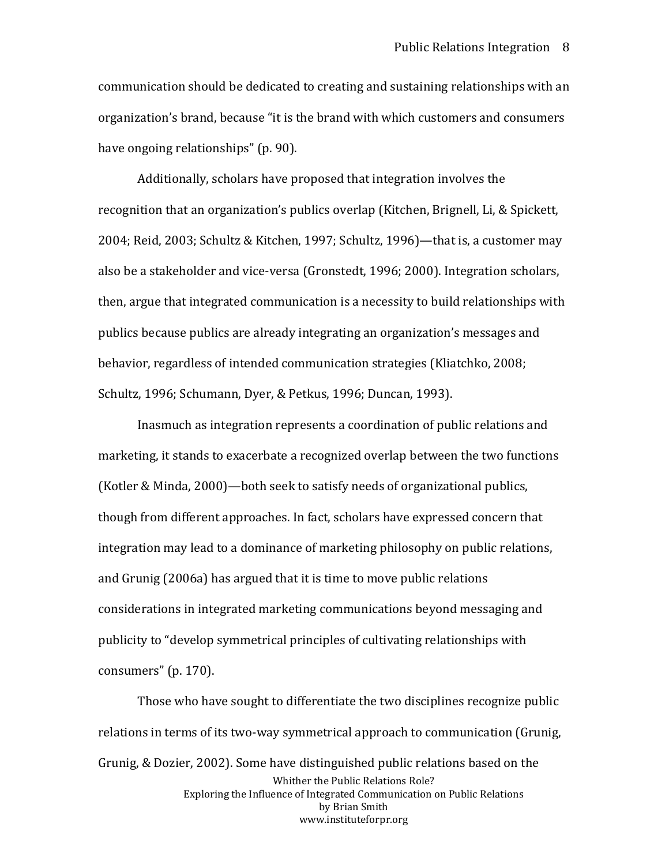communication should be dedicated to creating and sustaining relationships with an organization's brand, because "it is the brand with which customers and consumers have ongoing relationships" (p. 90).

Additionally, scholars have proposed that integration involves the recognition that an organization's publics overlap (Kitchen, Brignell, Li, & Spickett, 2004; Reid, 2003; Schultz & Kitchen, 1997; Schultz, 1996)—that is, a customer may also be a stakeholder and vice-versa (Gronstedt, 1996; 2000). Integration scholars, then, argue that integrated communication is a necessity to build relationships with publics because publics are already integrating an organization's messages and behavior, regardless of intended communication strategies (Kliatchko, 2008; Schultz, 1996; Schumann, Dyer, & Petkus, 1996; Duncan, 1993).

Inasmuch as integration represents a coordination of public relations and marketing, it stands to exacerbate a recognized overlap between the two functions (Kotler & Minda, 2000)—both seek to satisfy needs of organizational publics, though from different approaches. In fact, scholars have expressed concern that integration may lead to a dominance of marketing philosophy on public relations, and Grunig (2006a) has argued that it is time to move public relations considerations in integrated marketing communications beyond messaging and publicity to "develop symmetrical principles of cultivating relationships with consumers" (p. 170).

Whither the Public Relations Role? Exploring the Influence of Integrated Communication on Public Relations by Brian Smith www.instituteforpr.org Those who have sought to differentiate the two disciplines recognize public relations in terms of its two-way symmetrical approach to communication (Grunig, Grunig, & Dozier, 2002). Some have distinguished public relations based on the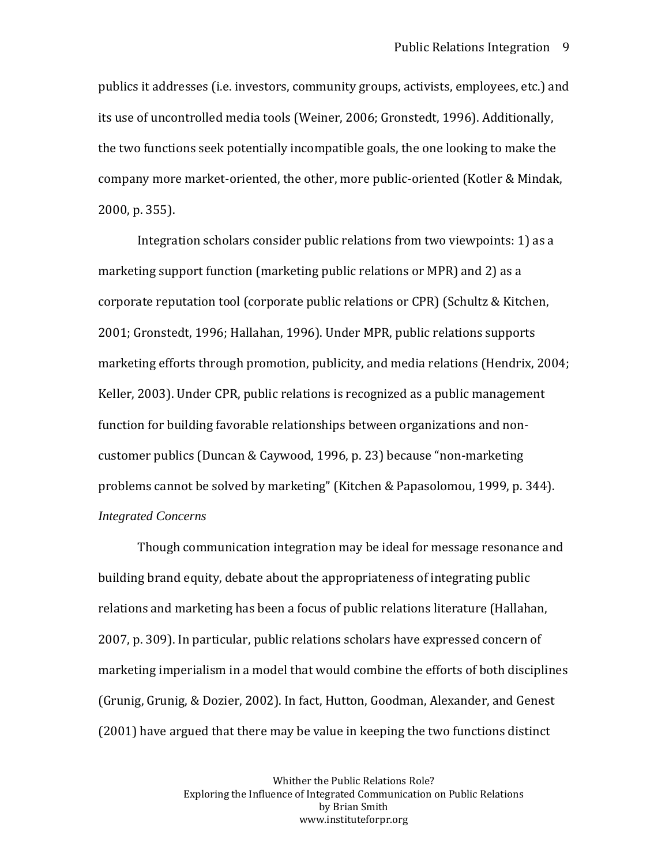publics it addresses (i.e. investors, community groups, activists, employees, etc.) and its use of uncontrolled media tools (Weiner, 2006; Gronstedt, 1996). Additionally, the two functions seek potentially incompatible goals, the one looking to make the company more market-oriented, the other, more public-oriented (Kotler & Mindak, 2000, p. 355).

Integration scholars consider public relations from two viewpoints: 1) as a marketing support function (marketing public relations or MPR) and 2) as a corporate reputation tool (corporate public relations or CPR) (Schultz & Kitchen, 2001; Gronstedt, 1996; Hallahan, 1996). Under MPR, public relations supports marketing efforts through promotion, publicity, and media relations (Hendrix, 2004; Keller, 2003). Under CPR, public relations is recognized as a public management function for building favorable relationships between organizations and noncustomer publics (Duncan & Caywood, 1996, p. 23) because "non-marketing problems cannot be solved by marketing" (Kitchen & Papasolomou, 1999, p. 344). *Integrated Concerns*

Though communication integration may be ideal for message resonance and building brand equity, debate about the appropriateness of integrating public relations and marketing has been a focus of public relations literature (Hallahan, 2007, p. 309). In particular, public relations scholars have expressed concern of marketing imperialism in a model that would combine the efforts of both disciplines (Grunig, Grunig, & Dozier, 2002). In fact, Hutton, Goodman, Alexander, and Genest (2001) have argued that there may be value in keeping the two functions distinct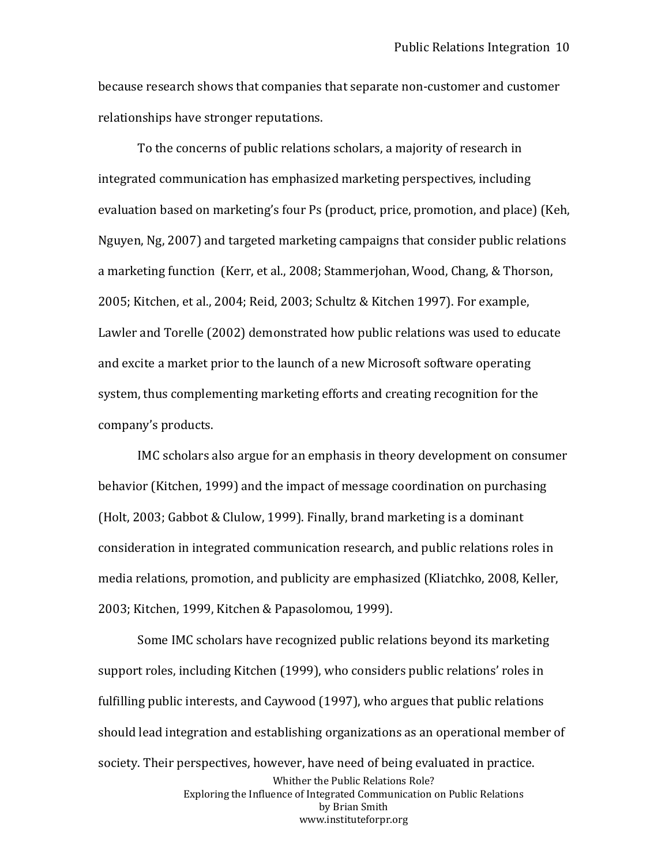because research shows that companies that separate non-customer and customer relationships have stronger reputations.

To the concerns of public relations scholars, a majority of research in integrated communication has emphasized marketing perspectives, including evaluation based on marketing's four Ps (product, price, promotion, and place) (Keh, Nguyen, Ng, 2007) and targeted marketing campaigns that consider public relations a marketing function (Kerr, et al., 2008; Stammerjohan, Wood, Chang, & Thorson, 2005; Kitchen, et al., 2004; Reid, 2003; Schultz & Kitchen 1997). For example, Lawler and Torelle (2002) demonstrated how public relations was used to educate and excite a market prior to the launch of a new Microsoft software operating system, thus complementing marketing efforts and creating recognition for the company's products.

IMC scholars also argue for an emphasis in theory development on consumer behavior (Kitchen, 1999) and the impact of message coordination on purchasing (Holt, 2003; Gabbot & Clulow, 1999). Finally, brand marketing is a dominant consideration in integrated communication research, and public relations roles in media relations, promotion, and publicity are emphasized (Kliatchko, 2008, Keller, 2003; Kitchen, 1999, Kitchen & Papasolomou, 1999).

Whither the Public Relations Role? Exploring the Influence of Integrated Communication on Public Relations by Brian Smith www.instituteforpr.org Some IMC scholars have recognized public relations beyond its marketing support roles, including Kitchen (1999), who considers public relations' roles in fulfilling public interests, and Caywood (1997), who argues that public relations should lead integration and establishing organizations as an operational member of society. Their perspectives, however, have need of being evaluated in practice.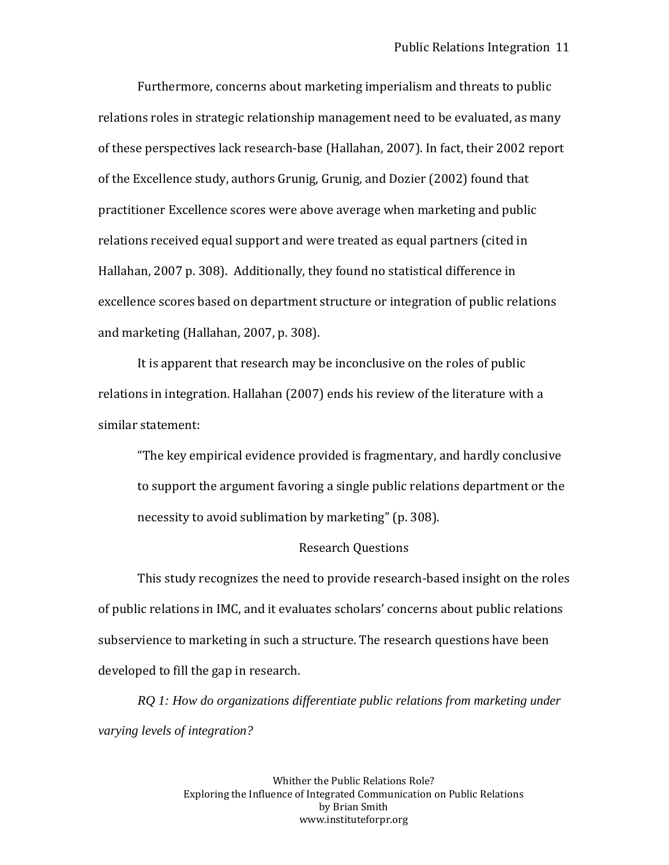Furthermore, concerns about marketing imperialism and threats to public relations roles in strategic relationship management need to be evaluated, as many of these perspectives lack research-base (Hallahan, 2007). In fact, their 2002 report of the Excellence study, authors Grunig, Grunig, and Dozier (2002) found that practitioner Excellence scores were above average when marketing and public relations received equal support and were treated as equal partners (cited in Hallahan, 2007 p. 308). Additionally, they found no statistical difference in excellence scores based on department structure or integration of public relations and marketing (Hallahan, 2007, p. 308).

It is apparent that research may be inconclusive on the roles of public relations in integration. Hallahan (2007) ends his review of the literature with a similar statement:

"The key empirical evidence provided is fragmentary, and hardly conclusive to support the argument favoring a single public relations department or the necessity to avoid sublimation by marketing" (p. 308).

#### Research Questions

This study recognizes the need to provide research-based insight on the roles of public relations in IMC, and it evaluates scholars' concerns about public relations subservience to marketing in such a structure. The research questions have been developed to fill the gap in research.

*RQ 1: How do organizations differentiate public relations from marketing under varying levels of integration?*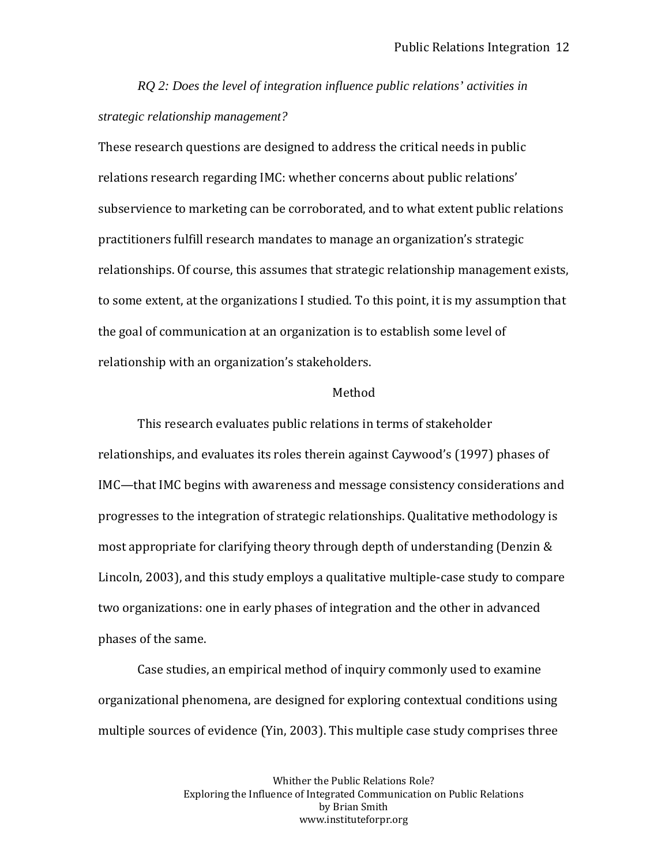*RQ 2: Does the level of integration influence public relations' activities in strategic relationship management?*

These research questions are designed to address the critical needs in public relations research regarding IMC: whether concerns about public relations' subservience to marketing can be corroborated, and to what extent public relations practitioners fulfill research mandates to manage an organization's strategic relationships. Of course, this assumes that strategic relationship management exists, to some extent, at the organizations I studied. To this point, it is my assumption that the goal of communication at an organization is to establish some level of relationship with an organization's stakeholders.

#### Method

This research evaluates public relations in terms of stakeholder relationships, and evaluates its roles therein against Caywood's (1997) phases of IMC—that IMC begins with awareness and message consistency considerations and progresses to the integration of strategic relationships. Qualitative methodology is most appropriate for clarifying theory through depth of understanding (Denzin & Lincoln, 2003), and this study employs a qualitative multiple-case study to compare two organizations: one in early phases of integration and the other in advanced phases of the same.

Case studies, an empirical method of inquiry commonly used to examine organizational phenomena, are designed for exploring contextual conditions using multiple sources of evidence (Yin, 2003). This multiple case study comprises three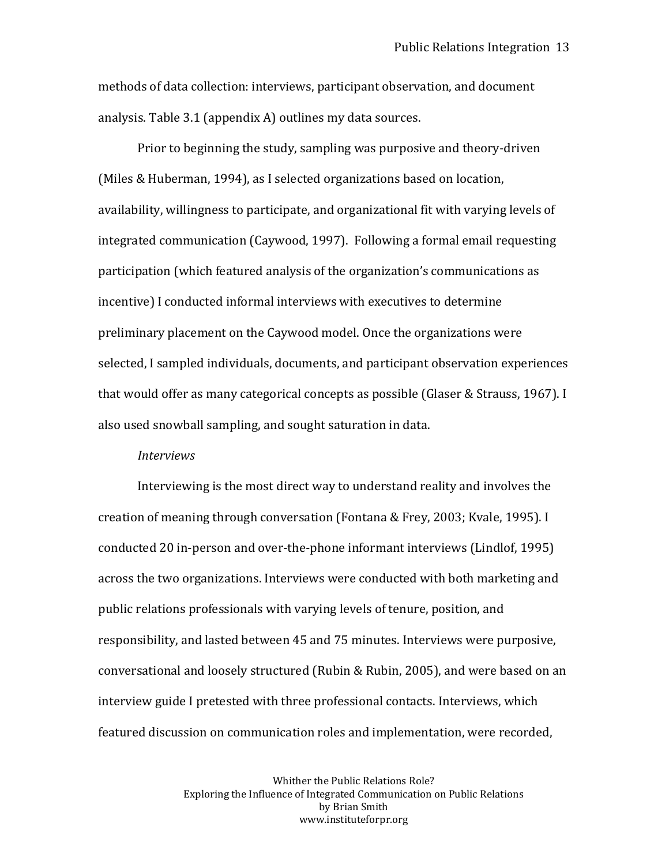methods of data collection: interviews, participant observation, and document analysis. Table 3.1 (appendix A) outlines my data sources.

Prior to beginning the study, sampling was purposive and theory-driven (Miles & Huberman, 1994), as I selected organizations based on location, availability, willingness to participate, and organizational fit with varying levels of integrated communication (Caywood, 1997). Following a formal email requesting participation (which featured analysis of the organization's communications as incentive) I conducted informal interviews with executives to determine preliminary placement on the Caywood model. Once the organizations were selected, I sampled individuals, documents, and participant observation experiences that would offer as many categorical concepts as possible (Glaser & Strauss, 1967). I also used snowball sampling, and sought saturation in data.

#### *Interviews*

Interviewing is the most direct way to understand reality and involves the creation of meaning through conversation (Fontana & Frey, 2003; Kvale, 1995). I conducted 20 in-person and over-the-phone informant interviews (Lindlof, 1995) across the two organizations. Interviews were conducted with both marketing and public relations professionals with varying levels of tenure, position, and responsibility, and lasted between 45 and 75 minutes. Interviews were purposive, conversational and loosely structured (Rubin & Rubin, 2005), and were based on an interview guide I pretested with three professional contacts. Interviews, which featured discussion on communication roles and implementation, were recorded,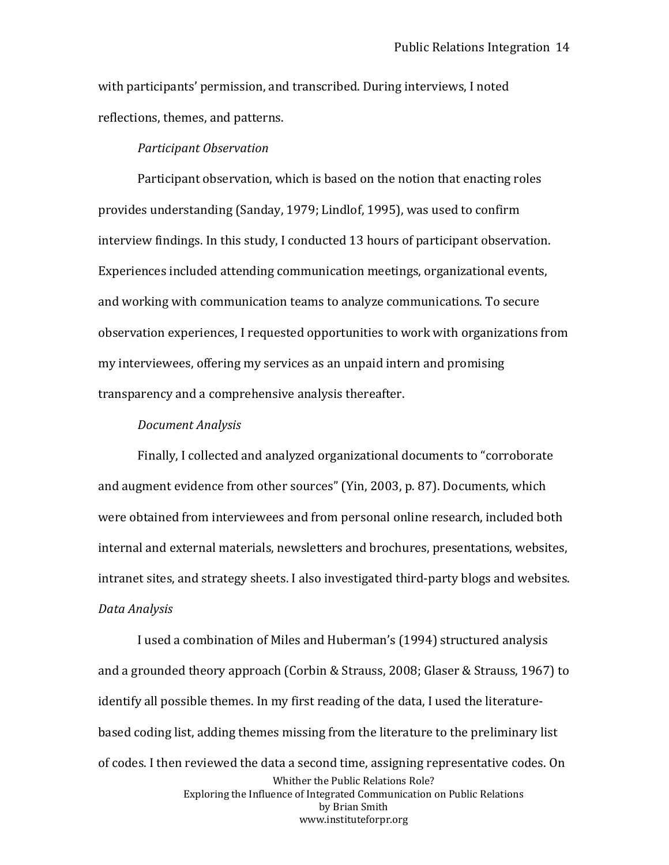with participants' permission, and transcribed. During interviews, I noted reflections, themes, and patterns.

### *Participant Observation*

Participant observation, which is based on the notion that enacting roles provides understanding (Sanday, 1979; Lindlof, 1995), was used to confirm interview findings. In this study, I conducted 13 hours of participant observation. Experiences included attending communication meetings, organizational events, and working with communication teams to analyze communications. To secure observation experiences, I requested opportunities to work with organizations from my interviewees, offering my services as an unpaid intern and promising transparency and a comprehensive analysis thereafter.

### *Document Analysis*

Finally, I collected and analyzed organizational documents to "corroborate and augment evidence from other sources" (Yin, 2003, p. 87). Documents, which were obtained from interviewees and from personal online research, included both internal and external materials, newsletters and brochures, presentations, websites, intranet sites, and strategy sheets. I also investigated third-party blogs and websites. *Data Analysis*

Whither the Public Relations Role? Exploring the Influence of Integrated Communication on Public Relations by Brian Smith www.instituteforpr.org I used a combination of Miles and Huberman's (1994) structured analysis and a grounded theory approach (Corbin & Strauss, 2008; Glaser & Strauss, 1967) to identify all possible themes. In my first reading of the data, I used the literaturebased coding list, adding themes missing from the literature to the preliminary list of codes. I then reviewed the data a second time, assigning representative codes. On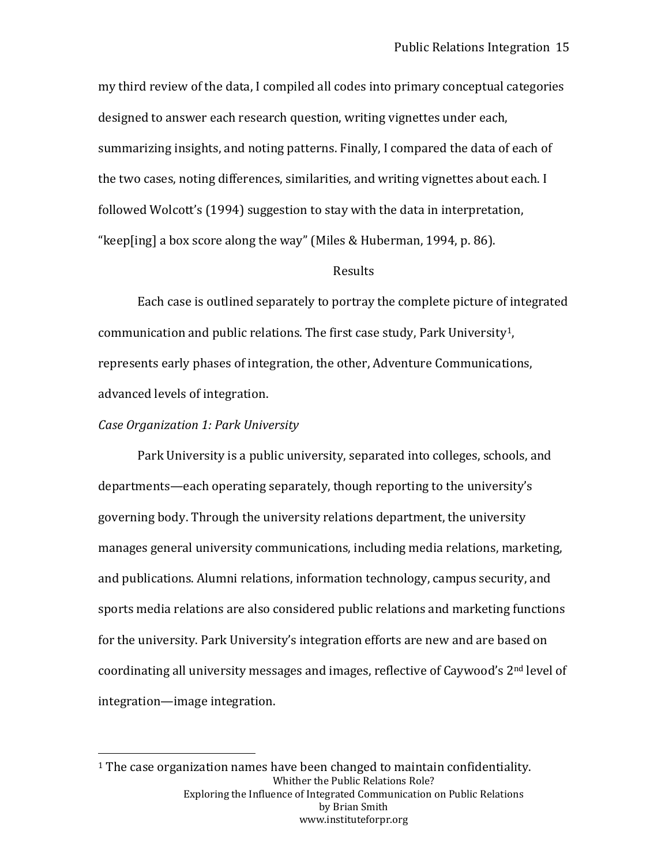my third review of the data, I compiled all codes into primary conceptual categories designed to answer each research question, writing vignettes under each, summarizing insights, and noting patterns. Finally, I compared the data of each of the two cases, noting differences, similarities, and writing vignettes about each. I followed Wolcott's (1994) suggestion to stay with the data in interpretation, "keep[ing] a box score along the way" (Miles & Huberman, 1994, p. 86).

### Results

Each case is outlined separately to portray the complete picture of integrated communication and public relations. The first case study, Park University[1](#page-14-0) , represents early phases of integration, the other, Adventure Communications, advanced levels of integration.

### *Case Organization 1: Park University*

Park University is a public university, separated into colleges, schools, and departments—each operating separately, though reporting to the university's governing body. Through the university relations department, the university manages general university communications, including media relations, marketing, and publications. Alumni relations, information technology, campus security, and sports media relations are also considered public relations and marketing functions for the university. Park University's integration efforts are new and are based on coordinating all university messages and images, reflective of Caywood's 2nd level of integration—image integration.

<span id="page-14-0"></span>Whither the Public Relations Role? Exploring the Influence of Integrated Communication on Public Relations by Brian Smith www.instituteforpr.org <sup>1</sup> The case organization names have been changed to maintain confidentiality.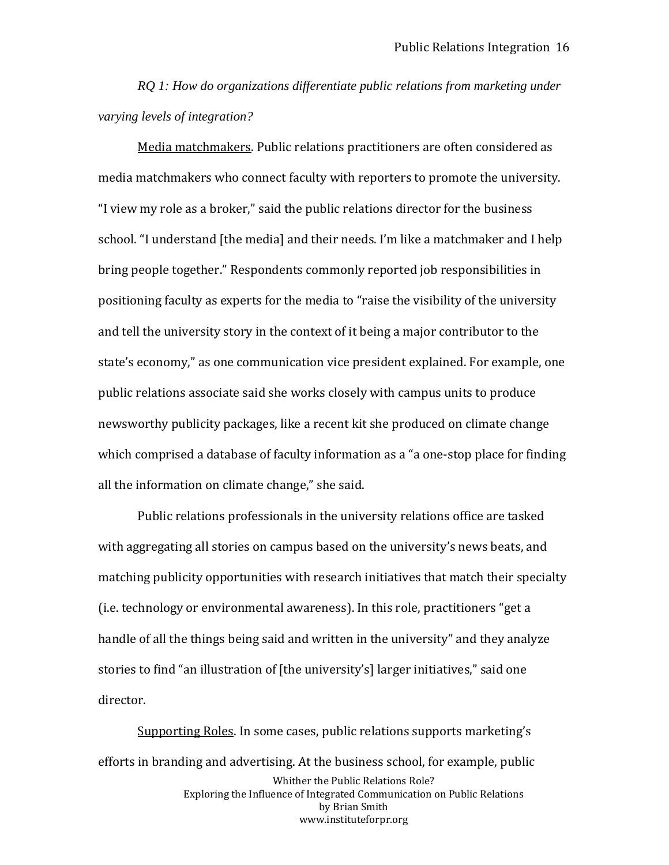*RQ 1: How do organizations differentiate public relations from marketing under varying levels of integration?*

Media matchmakers. Public relations practitioners are often considered as media matchmakers who connect faculty with reporters to promote the university. "I view my role as a broker," said the public relations director for the business school. "I understand [the media] and their needs. I'm like a matchmaker and I help bring people together." Respondents commonly reported job responsibilities in positioning faculty as experts for the media to "raise the visibility of the university and tell the university story in the context of it being a major contributor to the state's economy," as one communication vice president explained. For example, one public relations associate said she works closely with campus units to produce newsworthy publicity packages, like a recent kit she produced on climate change which comprised a database of faculty information as a "a one-stop place for finding all the information on climate change," she said.

Public relations professionals in the university relations office are tasked with aggregating all stories on campus based on the university's news beats, and matching publicity opportunities with research initiatives that match their specialty (i.e. technology or environmental awareness). In this role, practitioners "get a handle of all the things being said and written in the university" and they analyze stories to find "an illustration of [the university's] larger initiatives," said one director.

Whither the Public Relations Role? Exploring the Influence of Integrated Communication on Public Relations by Brian Smith www.instituteforpr.org Supporting Roles. In some cases, public relations supports marketing's efforts in branding and advertising. At the business school, for example, public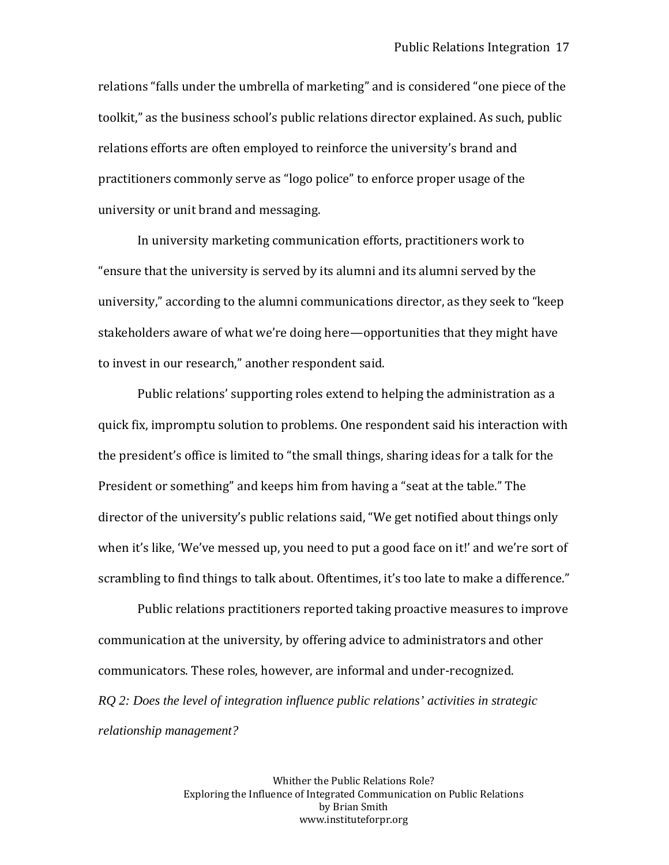relations "falls under the umbrella of marketing" and is considered "one piece of the toolkit," as the business school's public relations director explained. As such, public relations efforts are often employed to reinforce the university's brand and practitioners commonly serve as "logo police" to enforce proper usage of the university or unit brand and messaging.

In university marketing communication efforts, practitioners work to "ensure that the university is served by its alumni and its alumni served by the university," according to the alumni communications director, as they seek to "keep stakeholders aware of what we're doing here—opportunities that they might have to invest in our research," another respondent said.

Public relations' supporting roles extend to helping the administration as a quick fix, impromptu solution to problems. One respondent said his interaction with the president's office is limited to "the small things, sharing ideas for a talk for the President or something" and keeps him from having a "seat at the table." The director of the university's public relations said, "We get notified about things only when it's like, 'We've messed up, you need to put a good face on it!' and we're sort of scrambling to find things to talk about. Oftentimes, it's too late to make a difference."

Public relations practitioners reported taking proactive measures to improve communication at the university, by offering advice to administrators and other communicators. These roles, however, are informal and under-recognized. *RQ 2: Does the level of integration influence public relations' activities in strategic relationship management?*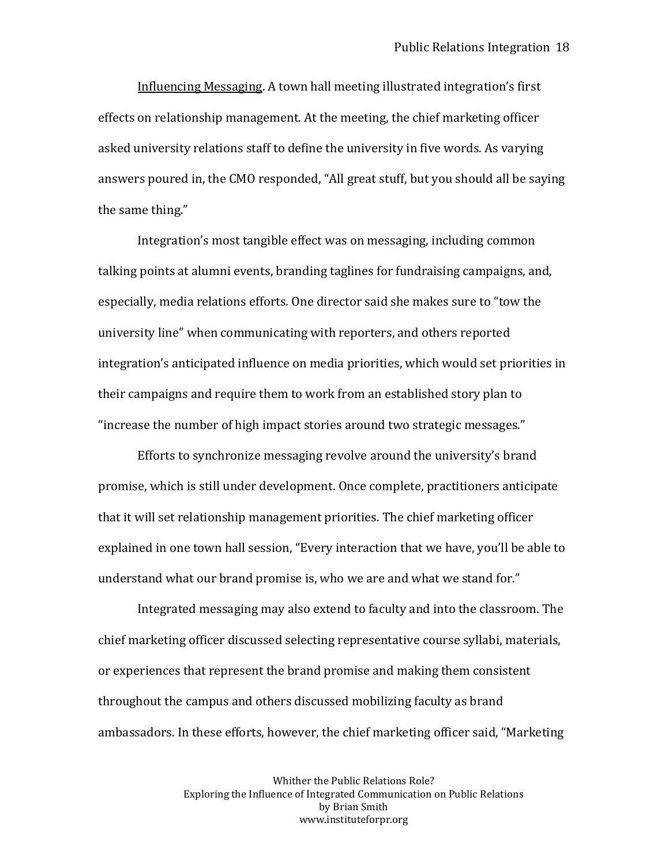Influencing Messaging. A town hall meeting illustrated integration's first effects on relationship management. At the meeting, the chief marketing officer asked university relations staff to define the university in five words. As varying answers poured in, the CMO responded, "All great stuff, but you should all be saying the same thing."

Integration's most tangible effect was on messaging, including common talking points at alumni events, branding taglines for fundraising campaigns, and, especially, media relations efforts. One director said she makes sure to "tow the university line" when communicating with reporters, and others reported integration's anticipated influence on media priorities, which would set priorities in their campaigns and require them to work from an established story plan to "increase the number of high impact stories around two strategic messages."

Efforts to synchronize messaging revolve around the university's brand promise, which is still under development. Once complete, practitioners anticipate that it will set relationship management priorities. The chief marketing officer explained in one town hall session, "Every interaction that we have, you'll be able to understand what our brand promise is, who we are and what we stand for."

Integrated messaging may also extend to faculty and into the classroom. The chief marketing officer discussed selecting representative course syllabi, materials, or experiences that represent the brand promise and making them consistent throughout the campus and others discussed mobilizing faculty as brand ambassadors. In these efforts, however, the chief marketing officer said, "Marketing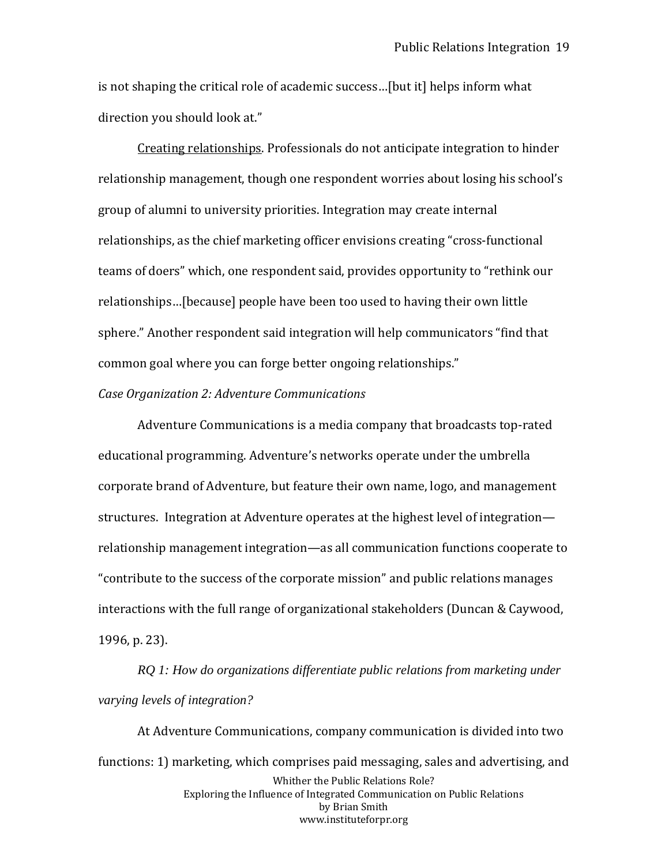is not shaping the critical role of academic success…[but it] helps inform what direction you should look at."

Creating relationships. Professionals do not anticipate integration to hinder relationship management, though one respondent worries about losing his school's group of alumni to university priorities. Integration may create internal relationships, as the chief marketing officer envisions creating "cross-functional teams of doers" which, one respondent said, provides opportunity to "rethink our relationships…[because] people have been too used to having their own little sphere." Another respondent said integration will help communicators "find that common goal where you can forge better ongoing relationships."

## *Case Organization 2: Adventure Communications*

Adventure Communications is a media company that broadcasts top-rated educational programming. Adventure's networks operate under the umbrella corporate brand of Adventure, but feature their own name, logo, and management structures. Integration at Adventure operates at the highest level of integration relationship management integration—as all communication functions cooperate to "contribute to the success of the corporate mission" and public relations manages interactions with the full range of organizational stakeholders (Duncan & Caywood, 1996, p. 23).

*RQ 1: How do organizations differentiate public relations from marketing under varying levels of integration?*

Whither the Public Relations Role? Exploring the Influence of Integrated Communication on Public Relations by Brian Smith www.instituteforpr.org At Adventure Communications, company communication is divided into two functions: 1) marketing, which comprises paid messaging, sales and advertising, and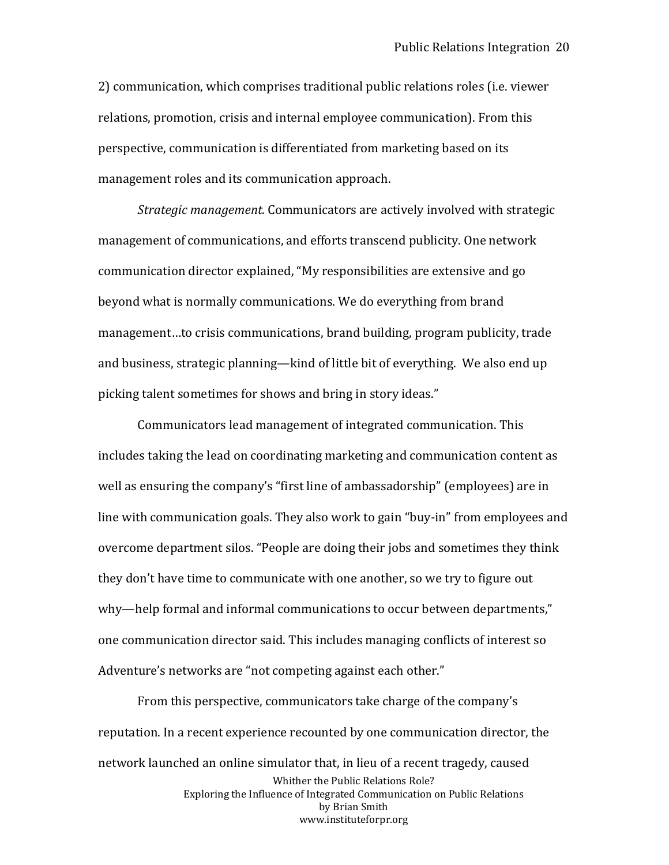2) communication, which comprises traditional public relations roles (i.e. viewer relations, promotion, crisis and internal employee communication). From this perspective, communication is differentiated from marketing based on its management roles and its communication approach.

*Strategic management.* Communicators are actively involved with strategic management of communications, and efforts transcend publicity. One network communication director explained, "My responsibilities are extensive and go beyond what is normally communications. We do everything from brand management…to crisis communications, brand building, program publicity, trade and business, strategic planning—kind of little bit of everything. We also end up picking talent sometimes for shows and bring in story ideas."

Communicators lead management of integrated communication. This includes taking the lead on coordinating marketing and communication content as well as ensuring the company's "first line of ambassadorship" (employees) are in line with communication goals. They also work to gain "buy-in" from employees and overcome department silos. "People are doing their jobs and sometimes they think they don't have time to communicate with one another, so we try to figure out why—help formal and informal communications to occur between departments," one communication director said. This includes managing conflicts of interest so Adventure's networks are "not competing against each other."

Whither the Public Relations Role? Exploring the Influence of Integrated Communication on Public Relations by Brian Smith www.instituteforpr.org From this perspective, communicators take charge of the company's reputation. In a recent experience recounted by one communication director, the network launched an online simulator that, in lieu of a recent tragedy, caused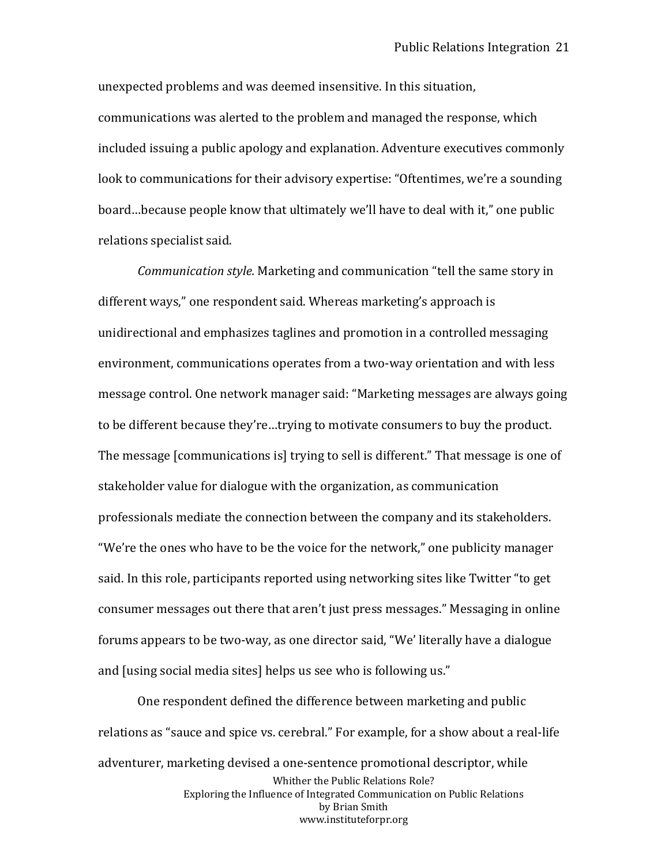unexpected problems and was deemed insensitive. In this situation, communications was alerted to the problem and managed the response, which included issuing a public apology and explanation. Adventure executives commonly look to communications for their advisory expertise: "Oftentimes, we're a sounding board…because people know that ultimately we'll have to deal with it," one public relations specialist said.

*Communication style.* Marketing and communication "tell the same story in different ways," one respondent said. Whereas marketing's approach is unidirectional and emphasizes taglines and promotion in a controlled messaging environment, communications operates from a two-way orientation and with less message control. One network manager said: "Marketing messages are always going to be different because they're…trying to motivate consumers to buy the product. The message [communications is] trying to sell is different." That message is one of stakeholder value for dialogue with the organization, as communication professionals mediate the connection between the company and its stakeholders. "We're the ones who have to be the voice for the network," one publicity manager said. In this role, participants reported using networking sites like Twitter "to get consumer messages out there that aren't just press messages." Messaging in online forums appears to be two-way, as one director said, "We' literally have a dialogue and [using social media sites] helps us see who is following us."

Whither the Public Relations Role? Exploring the Influence of Integrated Communication on Public Relations by Brian Smith www.instituteforpr.org One respondent defined the difference between marketing and public relations as "sauce and spice vs. cerebral." For example, for a show about a real-life adventurer, marketing devised a one-sentence promotional descriptor, while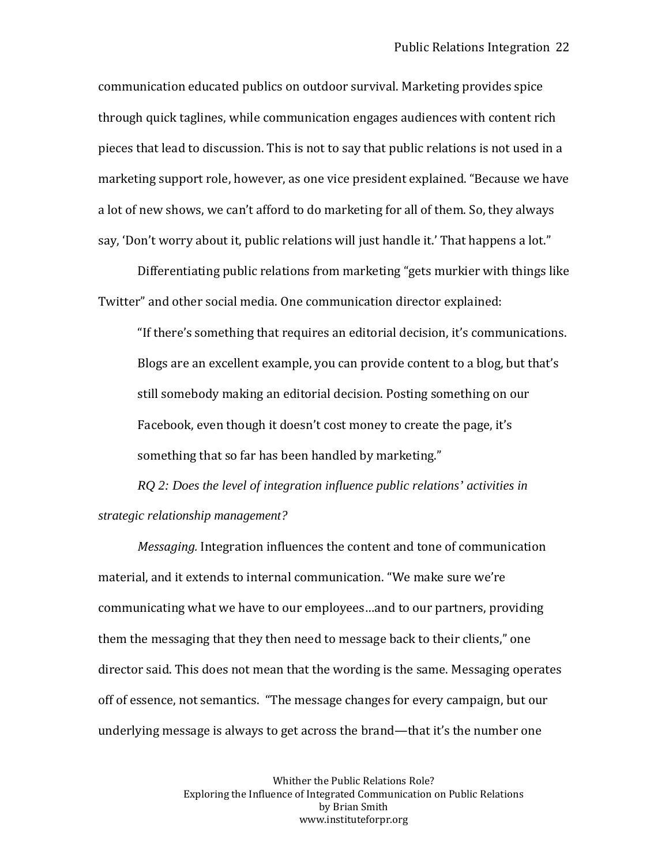communication educated publics on outdoor survival. Marketing provides spice through quick taglines, while communication engages audiences with content rich pieces that lead to discussion. This is not to say that public relations is not used in a marketing support role, however, as one vice president explained. "Because we have a lot of new shows, we can't afford to do marketing for all of them. So, they always say, 'Don't worry about it, public relations will just handle it.' That happens a lot."

Differentiating public relations from marketing "gets murkier with things like Twitter" and other social media. One communication director explained:

"If there's something that requires an editorial decision, it's communications. Blogs are an excellent example, you can provide content to a blog, but that's still somebody making an editorial decision. Posting something on our Facebook, even though it doesn't cost money to create the page, it's something that so far has been handled by marketing."

*RQ 2: Does the level of integration influence public relations' activities in strategic relationship management?*

*Messaging.* Integration influences the content and tone of communication material, and it extends to internal communication. "We make sure we're communicating what we have to our employees…and to our partners, providing them the messaging that they then need to message back to their clients," one director said. This does not mean that the wording is the same. Messaging operates off of essence, not semantics. "The message changes for every campaign, but our underlying message is always to get across the brand—that it's the number one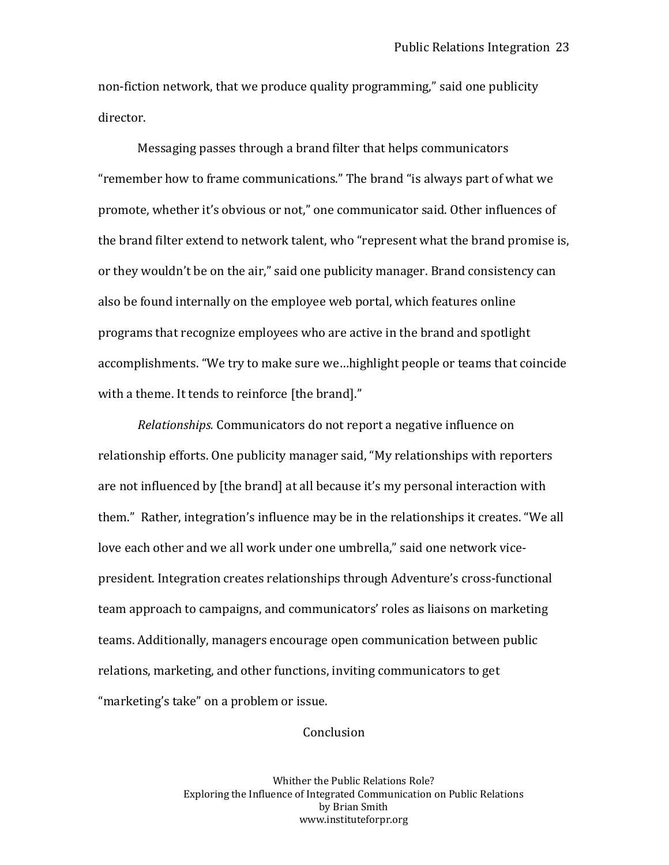non-fiction network, that we produce quality programming," said one publicity director.

Messaging passes through a brand filter that helps communicators "remember how to frame communications." The brand "is always part of what we promote, whether it's obvious or not," one communicator said. Other influences of the brand filter extend to network talent, who "represent what the brand promise is, or they wouldn't be on the air," said one publicity manager. Brand consistency can also be found internally on the employee web portal, which features online programs that recognize employees who are active in the brand and spotlight accomplishments. "We try to make sure we…highlight people or teams that coincide with a theme. It tends to reinforce [the brand]."

*Relationships.* Communicators do not report a negative influence on relationship efforts. One publicity manager said, "My relationships with reporters are not influenced by [the brand] at all because it's my personal interaction with them." Rather, integration's influence may be in the relationships it creates. "We all love each other and we all work under one umbrella," said one network vicepresident. Integration creates relationships through Adventure's cross-functional team approach to campaigns, and communicators' roles as liaisons on marketing teams. Additionally, managers encourage open communication between public relations, marketing, and other functions, inviting communicators to get "marketing's take" on a problem or issue.

## **Conclusion**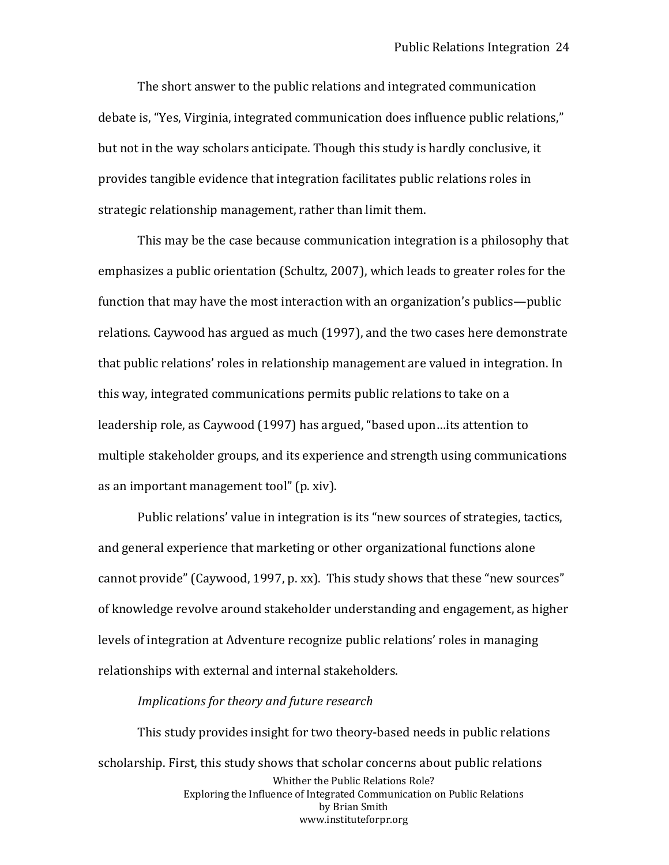The short answer to the public relations and integrated communication debate is, "Yes, Virginia, integrated communication does influence public relations," but not in the way scholars anticipate. Though this study is hardly conclusive, it provides tangible evidence that integration facilitates public relations roles in strategic relationship management, rather than limit them.

This may be the case because communication integration is a philosophy that emphasizes a public orientation (Schultz, 2007), which leads to greater roles for the function that may have the most interaction with an organization's publics—public relations. Caywood has argued as much (1997), and the two cases here demonstrate that public relations' roles in relationship management are valued in integration. In this way, integrated communications permits public relations to take on a leadership role, as Caywood (1997) has argued, "based upon…its attention to multiple stakeholder groups, and its experience and strength using communications as an important management tool" (p. xiv).

Public relations' value in integration is its "new sources of strategies, tactics, and general experience that marketing or other organizational functions alone cannot provide" (Caywood, 1997, p. xx). This study shows that these "new sources" of knowledge revolve around stakeholder understanding and engagement, as higher levels of integration at Adventure recognize public relations' roles in managing relationships with external and internal stakeholders.

#### *Implications for theory and future research*

Whither the Public Relations Role? Exploring the Influence of Integrated Communication on Public Relations by Brian Smith www.instituteforpr.org This study provides insight for two theory-based needs in public relations scholarship. First, this study shows that scholar concerns about public relations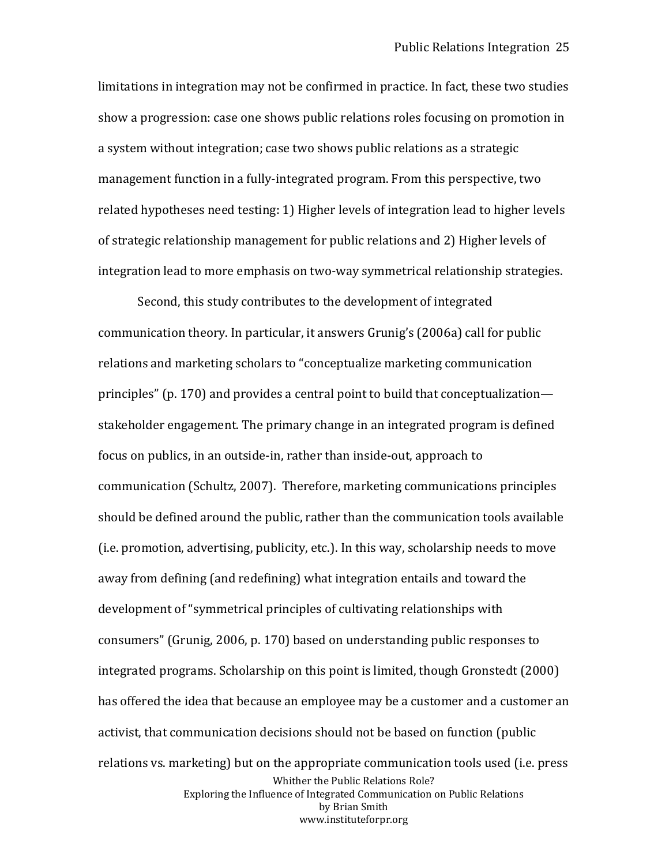limitations in integration may not be confirmed in practice. In fact, these two studies show a progression: case one shows public relations roles focusing on promotion in a system without integration; case two shows public relations as a strategic management function in a fully-integrated program. From this perspective, two related hypotheses need testing: 1) Higher levels of integration lead to higher levels of strategic relationship management for public relations and 2) Higher levels of integration lead to more emphasis on two-way symmetrical relationship strategies.

Whither the Public Relations Role? Exploring the Influence of Integrated Communication on Public Relations by Brian Smith www.instituteforpr.org Second, this study contributes to the development of integrated communication theory. In particular, it answers Grunig's (2006a) call for public relations and marketing scholars to "conceptualize marketing communication principles" (p. 170) and provides a central point to build that conceptualization stakeholder engagement. The primary change in an integrated program is defined focus on publics, in an outside-in, rather than inside-out, approach to communication (Schultz, 2007). Therefore, marketing communications principles should be defined around the public, rather than the communication tools available (i.e. promotion, advertising, publicity, etc.). In this way, scholarship needs to move away from defining (and redefining) what integration entails and toward the development of "symmetrical principles of cultivating relationships with consumers" (Grunig, 2006, p. 170) based on understanding public responses to integrated programs. Scholarship on this point is limited, though Gronstedt (2000) has offered the idea that because an employee may be a customer and a customer an activist, that communication decisions should not be based on function (public relations vs. marketing) but on the appropriate communication tools used (i.e. press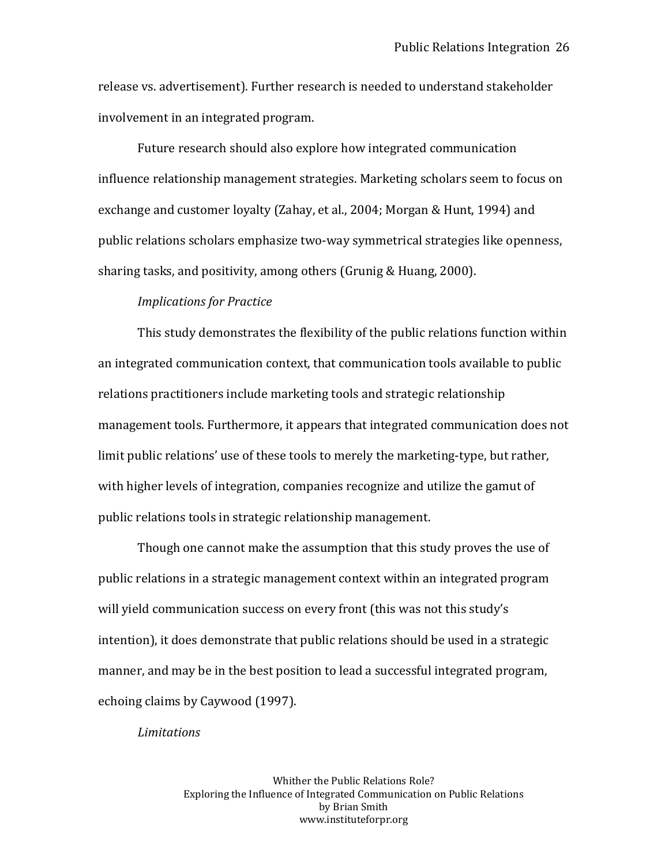release vs. advertisement). Further research is needed to understand stakeholder involvement in an integrated program.

Future research should also explore how integrated communication influence relationship management strategies. Marketing scholars seem to focus on exchange and customer loyalty (Zahay, et al., 2004; Morgan & Hunt, 1994) and public relations scholars emphasize two-way symmetrical strategies like openness, sharing tasks, and positivity, among others (Grunig & Huang, 2000).

# *Implications for Practice*

This study demonstrates the flexibility of the public relations function within an integrated communication context, that communication tools available to public relations practitioners include marketing tools and strategic relationship management tools. Furthermore, it appears that integrated communication does not limit public relations' use of these tools to merely the marketing-type, but rather, with higher levels of integration, companies recognize and utilize the gamut of public relations tools in strategic relationship management.

Though one cannot make the assumption that this study proves the use of public relations in a strategic management context within an integrated program will yield communication success on every front (this was not this study's intention), it does demonstrate that public relations should be used in a strategic manner, and may be in the best position to lead a successful integrated program, echoing claims by Caywood (1997).

#### *Limitations*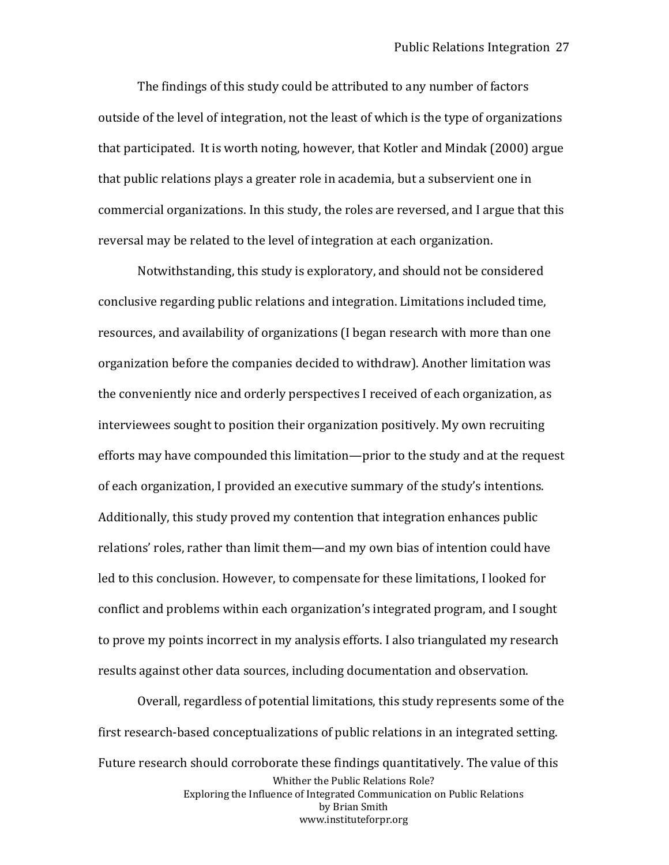The findings of this study could be attributed to any number of factors outside of the level of integration, not the least of which is the type of organizations that participated. It is worth noting, however, that Kotler and Mindak (2000) argue that public relations plays a greater role in academia, but a subservient one in commercial organizations. In this study, the roles are reversed, and I argue that this reversal may be related to the level of integration at each organization.

Notwithstanding, this study is exploratory, and should not be considered conclusive regarding public relations and integration. Limitations included time, resources, and availability of organizations (I began research with more than one organization before the companies decided to withdraw). Another limitation was the conveniently nice and orderly perspectives I received of each organization, as interviewees sought to position their organization positively. My own recruiting efforts may have compounded this limitation—prior to the study and at the request of each organization, I provided an executive summary of the study's intentions. Additionally, this study proved my contention that integration enhances public relations' roles, rather than limit them—and my own bias of intention could have led to this conclusion. However, to compensate for these limitations, I looked for conflict and problems within each organization's integrated program, and I sought to prove my points incorrect in my analysis efforts. I also triangulated my research results against other data sources, including documentation and observation.

Whither the Public Relations Role? Exploring the Influence of Integrated Communication on Public Relations by Brian Smith www.instituteforpr.org Overall, regardless of potential limitations, this study represents some of the first research-based conceptualizations of public relations in an integrated setting. Future research should corroborate these findings quantitatively. The value of this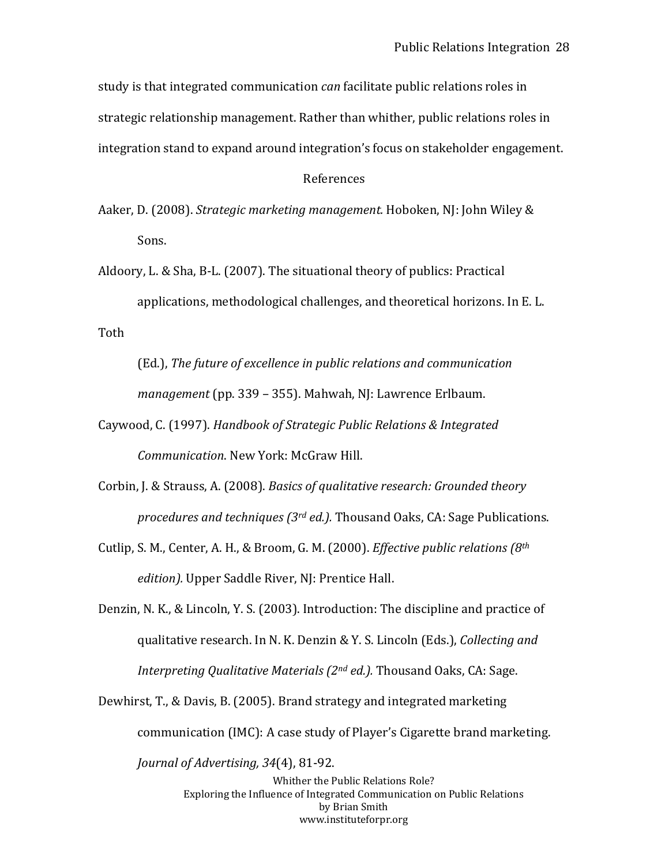study is that integrated communication *can* facilitate public relations roles in strategic relationship management. Rather than whither, public relations roles in integration stand to expand around integration's focus on stakeholder engagement.

#### References

Aaker, D. (2008). *Strategic marketing management.* Hoboken, NJ: John Wiley & Sons.

Aldoory, L. & Sha, B-L. (2007). The situational theory of publics: Practical applications, methodological challenges, and theoretical horizons. In E. L. Toth

(Ed.), *The future of excellence in public relations and communication management* (pp. 339 – 355). Mahwah, NJ: Lawrence Erlbaum.

- Caywood, C. (1997). *Handbook of Strategic Public Relations & Integrated Communication*. New York: McGraw Hill.
- Corbin, J. & Strauss, A. (2008). *Basics of qualitative research: Grounded theory procedures and techniques (3rd ed.).* Thousand Oaks, CA: Sage Publications.
- Cutlip, S. M., Center, A. H., & Broom, G. M. (2000). *Effective public relations (8th edition).* Upper Saddle River, NJ: Prentice Hall.
- Denzin, N. K., & Lincoln, Y. S. (2003). Introduction: The discipline and practice of qualitative research. In N. K. Denzin & Y. S. Lincoln (Eds.), *Collecting and Interpreting Qualitative Materials (2nd ed.).* Thousand Oaks, CA: Sage.
- Dewhirst, T., & Davis, B. (2005). Brand strategy and integrated marketing communication (IMC): A case study of Player's Cigarette brand marketing.

*Journal of Advertising, 34*(4), 81-92.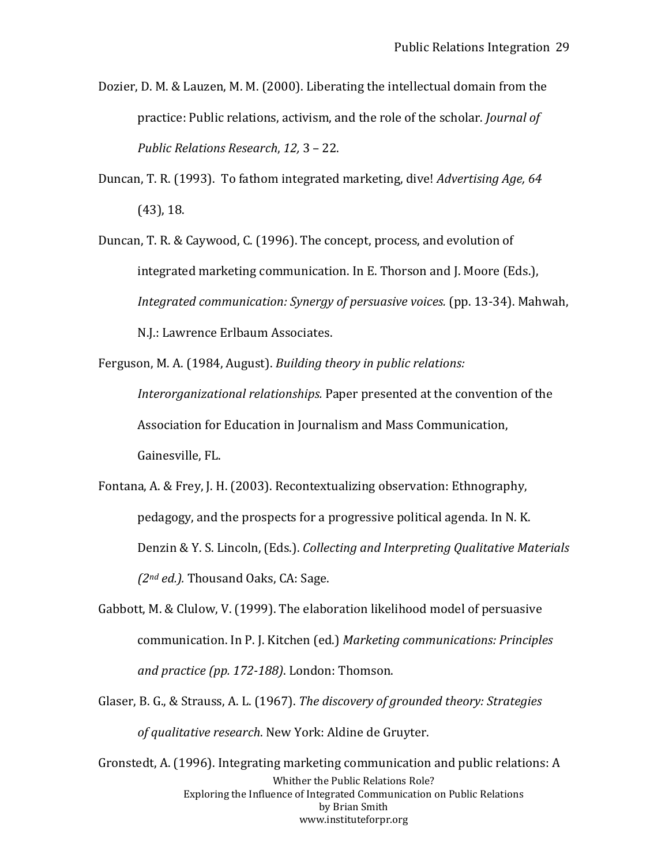- Dozier, D. M. & Lauzen, M. M. (2000). Liberating the intellectual domain from the practice: Public relations, activism, and the role of the scholar. *Journal of Public Relations Research*, *12,* 3 – 22.
- Duncan, T. R. (1993). To fathom integrated marketing, dive! *Advertising Age, 64*  (43), 18.
- Duncan, T. R. & Caywood, C. (1996). The concept, process, and evolution of integrated marketing communication. In E. Thorson and J. Moore (Eds.), *Integrated communication: Synergy of persuasive voices.* (pp. 13-34). Mahwah, N.J.: Lawrence Erlbaum Associates.
- Ferguson, M. A. (1984, August). *Building theory in public relations: Interorganizational relationships.* Paper presented at the convention of the Association for Education in Journalism and Mass Communication, Gainesville, FL.
- Fontana, A. & Frey, J. H. (2003). Recontextualizing observation: Ethnography, pedagogy, and the prospects for a progressive political agenda. In N. K. Denzin & Y. S. Lincoln, (Eds.). *Collecting and Interpreting Qualitative Materials (2nd ed.).* Thousand Oaks, CA: Sage.
- Gabbott, M. & Clulow, V. (1999). The elaboration likelihood model of persuasive communication. In P. J. Kitchen (ed.) *Marketing communications: Principles and practice (pp. 172-188)*. London: Thomson.
- Glaser, B. G., & Strauss, A. L. (1967). *The discovery of grounded theory: Strategies of qualitative research*. New York: Aldine de Gruyter.
- Whither the Public Relations Role? Exploring the Influence of Integrated Communication on Public Relations by Brian Smith www.instituteforpr.org Gronstedt, A. (1996). Integrating marketing communication and public relations: A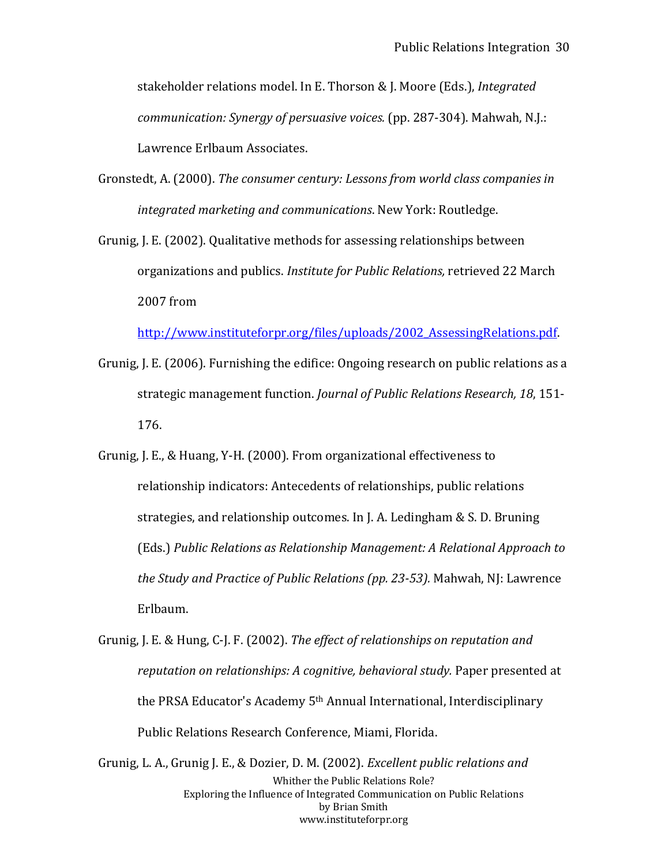stakeholder relations model. In E. Thorson & J. Moore (Eds.), *Integrated communication: Synergy of persuasive voices.* (pp. 287-304). Mahwah, N.J.: Lawrence Erlbaum Associates.

- Gronstedt, A. (2000). *The consumer century: Lessons from world class companies in integrated marketing and communications*. New York: Routledge.
- Grunig, J. E. (2002). Qualitative methods for assessing relationships between organizations and publics. *Institute for Public Relations,* retrieved 22 March 2007 from

[http://www.instituteforpr.org/files/uploads/2002\\_AssessingRelations.pdf.](http://www.instituteforpr.org/files/uploads/2002_AssessingRelations.pdf)

- Grunig, J. E. (2006). Furnishing the edifice: Ongoing research on public relations as a strategic management function. *Journal of Public Relations Research, 18*, 151- 176.
- Grunig, J. E., & Huang, Y-H. (2000). From organizational effectiveness to relationship indicators: Antecedents of relationships, public relations strategies, and relationship outcomes. In J. A. Ledingham & S. D. Bruning (Eds.) *Public Relations as Relationship Management: A Relational Approach to the Study and Practice of Public Relations (pp. 23-53).* Mahwah, NJ: Lawrence Erlbaum.
- Grunig, J. E. & Hung, C-J. F. (2002). *The effect of relationships on reputation and reputation on relationships: A cognitive, behavioral study.* Paper presented at the PRSA Educator's Academy 5<sup>th</sup> Annual International, Interdisciplinarv Public Relations Research Conference, Miami, Florida.

Whither the Public Relations Role? Exploring the Influence of Integrated Communication on Public Relations by Brian Smith www.instituteforpr.org Grunig, L. A., Grunig J. E., & Dozier, D. M. (2002). *Excellent public relations and*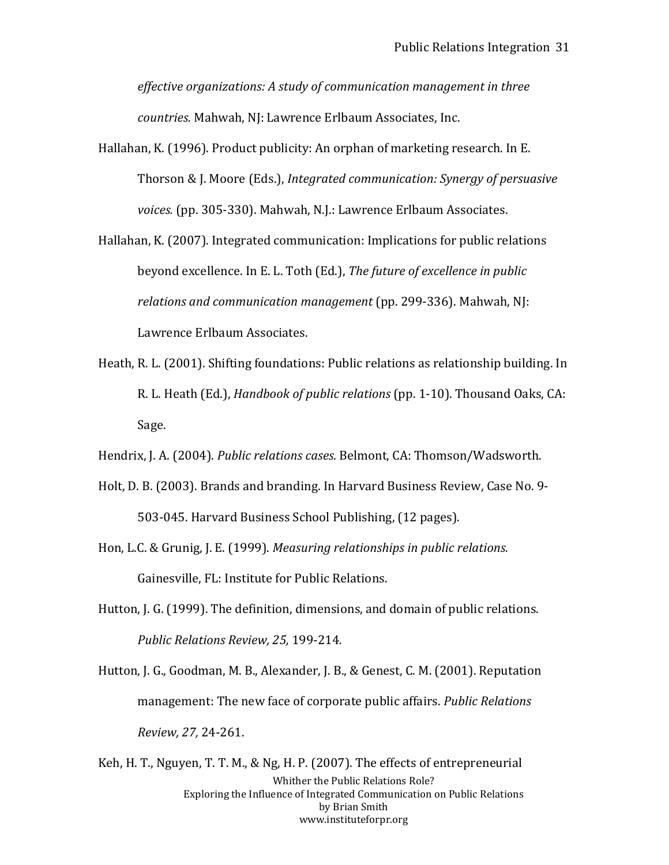*effective organizations: A study of communication management in three countries.* Mahwah, NJ: Lawrence Erlbaum Associates, Inc.

- Hallahan, K. (1996). Product publicity: An orphan of marketing research. In E. Thorson & J. Moore (Eds.), *Integrated communication: Synergy of persuasive voices.* (pp. 305-330). Mahwah, N.J.: Lawrence Erlbaum Associates.
- Hallahan, K. (2007). Integrated communication: Implications for public relations beyond excellence. In E. L. Toth (Ed.), *The future of excellence in public relations and communication management* (pp. 299-336). Mahwah, NJ: Lawrence Erlbaum Associates.
- Heath, R. L. (2001). Shifting foundations: Public relations as relationship building. In R. L. Heath (Ed.), *Handbook of public relations* (pp. 1-10). Thousand Oaks, CA: Sage.
- Hendrix, J. A. (2004). *Public relations cases.* Belmont, CA: Thomson/Wadsworth.
- Holt, D. B. (2003). Brands and branding. In Harvard Business Review, Case No. 9- 503-045. Harvard Business School Publishing, (12 pages).
- Hon, L.C. & Grunig, J. E. (1999). *Measuring relationships in public relations.*  Gainesville, FL: Institute for Public Relations.
- Hutton, J. G. (1999). The definition, dimensions, and domain of public relations. *Public Relations Review, 25,* 199-214*.*
- Hutton, J. G., Goodman, M. B., Alexander, J. B., & Genest, C. M. (2001). Reputation management: The new face of corporate public affairs. *Public Relations Review, 27,* 24-261.

Whither the Public Relations Role? Exploring the Influence of Integrated Communication on Public Relations by Brian Smith www.instituteforpr.org Keh, H. T., Nguyen, T. T. M., & Ng, H. P. (2007). The effects of entrepreneurial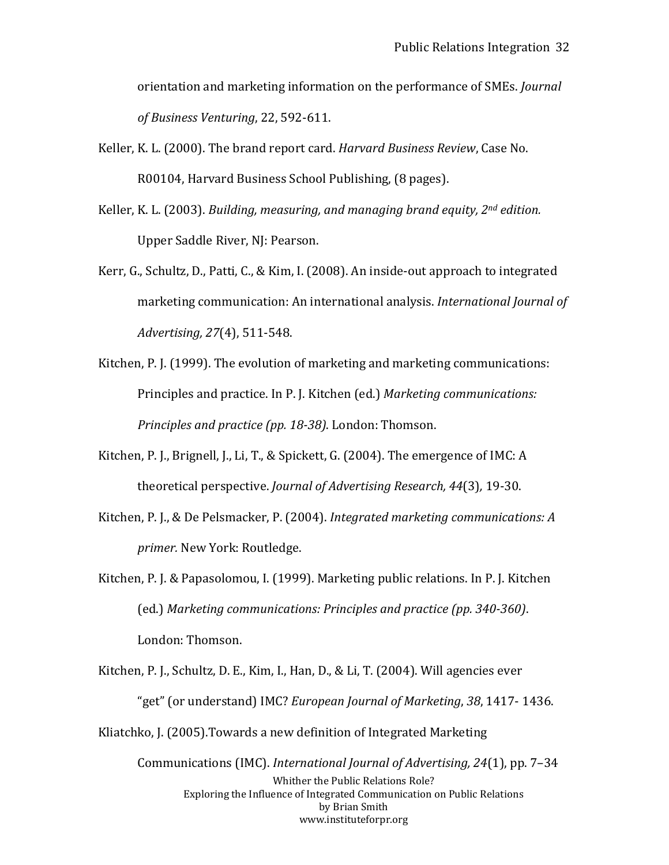orientation and marketing information on the performance of SMEs. *Journal of Business Venturing*, 22, 592-611.

- Keller, K. L. (2000). The brand report card. *Harvard Business Review*, Case No. R00104, Harvard Business School Publishing, (8 pages).
- Keller, K. L. (2003). *Building, measuring, and managing brand equity, 2nd edition.*  Upper Saddle River, NJ: Pearson.
- Kerr, G., Schultz, D., Patti, C., & Kim, I. (2008). An inside-out approach to integrated marketing communication: An international analysis. *International Journal of Advertising, 27*(4), 511-548.
- Kitchen, P. J. (1999). The evolution of marketing and marketing communications: Principles and practice. In P. J. Kitchen (ed.) *Marketing communications: Principles and practice (pp. 18-38)*. London: Thomson.
- Kitchen, P. J., Brignell, J., Li, T., & Spickett, G. (2004). The emergence of IMC: A theoretical perspective. *Journal of Advertising Research, 44*(3)*,* 19-30.
- Kitchen, P. J., & De Pelsmacker, P. (2004). *Integrated marketing communications: A primer.* New York: Routledge.
- Kitchen, P. J. & Papasolomou, I. (1999). Marketing public relations. In P. J. Kitchen (ed.) *Marketing communications: Principles and practice (pp. 340-360)*. London: Thomson.
- Kitchen, P. J., Schultz, D. E., Kim, I., Han, D., & Li, T. (2004). Will agencies ever "get" (or understand) IMC? *European Journal of Marketing*, *38*, 1417- 1436. Kliatchko, J. (2005).Towards a new definition of Integrated Marketing

Whither the Public Relations Role? Exploring the Influence of Integrated Communication on Public Relations by Brian Smith www.instituteforpr.org Communications (IMC). *International Journal of Advertising, 24*(1), pp. 7–34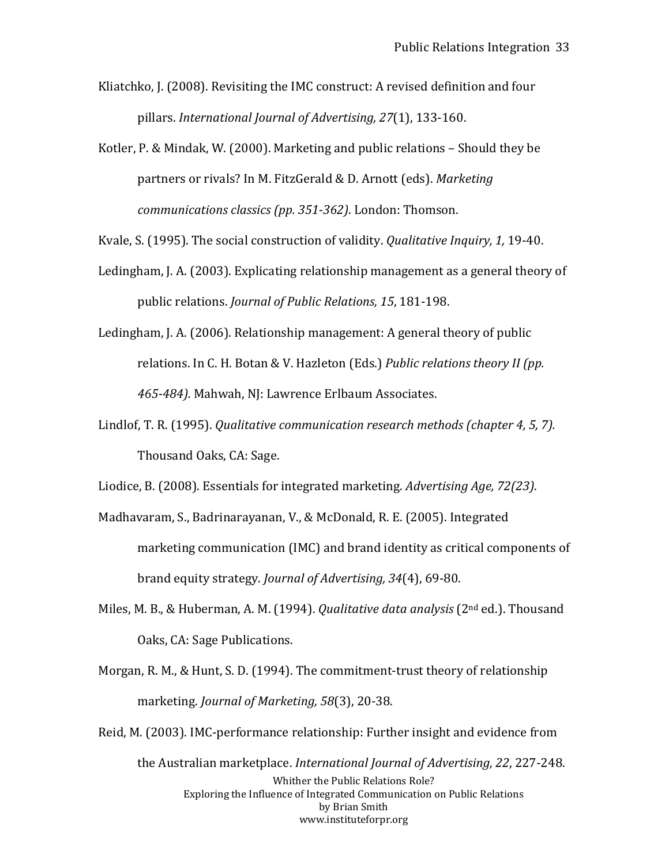Kliatchko, J. (2008). Revisiting the IMC construct: A revised definition and four pillars. *International Journal of Advertising, 27*(1), 133-160.

Kotler, P. & Mindak, W. (2000). Marketing and public relations – Should they be partners or rivals? In M. FitzGerald & D. Arnott (eds). *Marketing communications classics (pp. 351-362)*. London: Thomson.

Kvale, S. (1995). The social construction of validity. *Qualitative Inquiry, 1,* 19-40.

- Ledingham, J. A. (2003). Explicating relationship management as a general theory of public relations. *Journal of Public Relations, 15*, 181-198.
- Ledingham, J. A. (2006). Relationship management: A general theory of public relations. In C. H. Botan & V. Hazleton (Eds.) *Public relations theory II (pp. 465-484).* Mahwah, NJ: Lawrence Erlbaum Associates.
- Lindlof, T. R. (1995). *Qualitative communication research methods (chapter 4, 5, 7).*  Thousand Oaks, CA: Sage.

Liodice, B. (2008). Essentials for integrated marketing. *Advertising Age, 72(23)*.

- Madhavaram, S., Badrinarayanan, V., & McDonald, R. E. (2005). Integrated marketing communication (IMC) and brand identity as critical components of brand equity strategy. *Journal of Advertising, 34*(4), 69-80.
- Miles, M. B., & Huberman, A. M. (1994). *Qualitative data analysis* (2nd ed.). Thousand Oaks, CA: Sage Publications.
- Morgan, R. M., & Hunt, S. D. (1994). The commitment-trust theory of relationship marketing. *Journal of Marketing, 58*(3), 20-38.
- Whither the Public Relations Role? Exploring the Influence of Integrated Communication on Public Relations by Brian Smith www.instituteforpr.org Reid, M. (2003). IMC-performance relationship: Further insight and evidence from the Australian marketplace. *International Journal of Advertising, 22*, 227-248.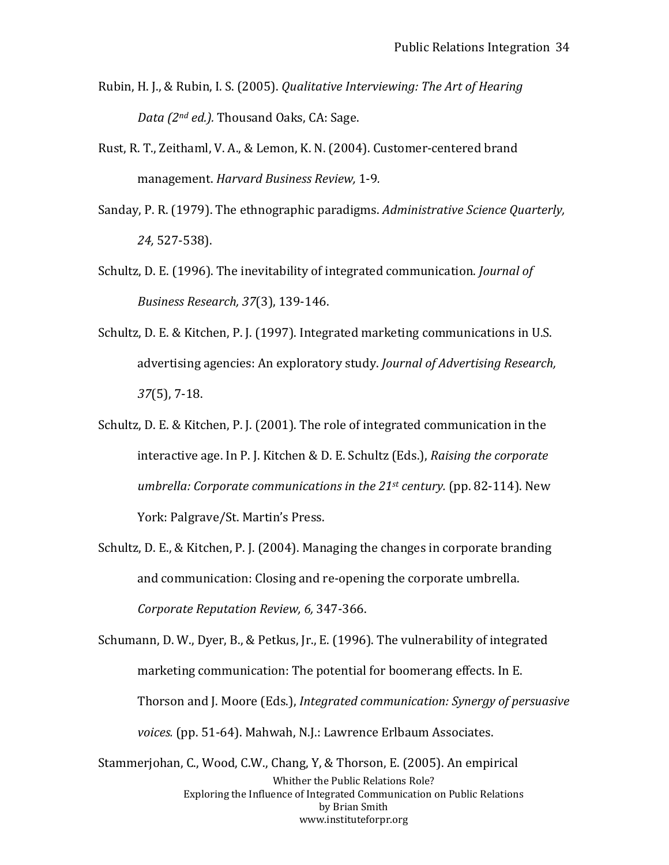- Rubin, H. J., & Rubin, I. S. (2005). *Qualitative Interviewing: The Art of Hearing Data (2nd ed.).* Thousand Oaks, CA: Sage.
- Rust, R. T., Zeithaml, V. A., & Lemon, K. N. (2004). Customer-centered brand management. *Harvard Business Review,* 1-9*.*
- Sanday, P. R. (1979). The ethnographic paradigms. *Administrative Science Quarterly, 24,* 527-538).
- Schultz, D. E. (1996). The inevitability of integrated communication. *Journal of Business Research, 37*(3), 139-146.
- Schultz, D. E. & Kitchen, P. J. (1997). Integrated marketing communications in U.S. advertising agencies: An exploratory study. *Journal of Advertising Research, 37*(5), 7-18.
- Schultz, D. E. & Kitchen, P. J. (2001). The role of integrated communication in the interactive age. In P. J. Kitchen & D. E. Schultz (Eds.), *Raising the corporate umbrella: Corporate communications in the 21st century.* (pp. 82-114). New York: Palgrave/St. Martin's Press.
- Schultz, D. E., & Kitchen, P. J. (2004). Managing the changes in corporate branding and communication: Closing and re-opening the corporate umbrella. *Corporate Reputation Review, 6,* 347-366.

Schumann, D. W., Dyer, B., & Petkus, Jr., E. (1996). The vulnerability of integrated marketing communication: The potential for boomerang effects. In E. Thorson and J. Moore (Eds.), *Integrated communication: Synergy of persuasive voices.* (pp. 51-64). Mahwah, N.J.: Lawrence Erlbaum Associates.

Whither the Public Relations Role? Exploring the Influence of Integrated Communication on Public Relations by Brian Smith www.instituteforpr.org Stammerjohan, C., Wood, C.W., Chang, Y, & Thorson, E. (2005). An empirical